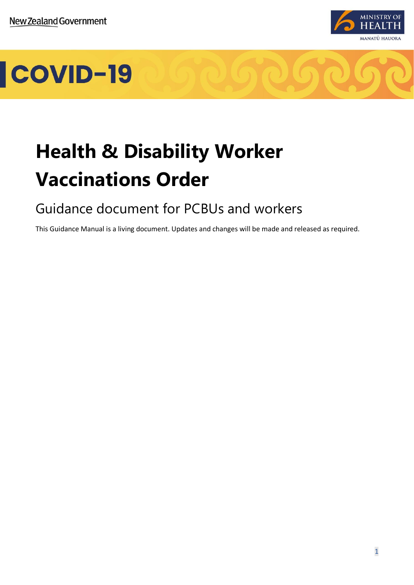

# COVID-19

# **Health & Disability Worker Vaccinations Order**

# Guidance document for PCBUs and workers

This Guidance Manual is a living document. Updates and changes will be made and released as required.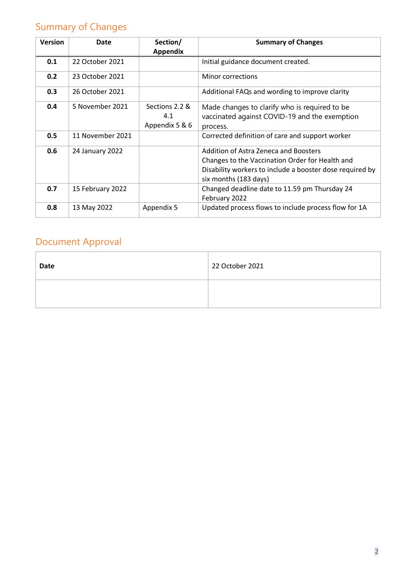# <span id="page-1-0"></span>Summary of Changes

| <b>Version</b> | Date             | Section/<br><b>Appendix</b>             | <b>Summary of Changes</b>                                                                                                                                                     |
|----------------|------------------|-----------------------------------------|-------------------------------------------------------------------------------------------------------------------------------------------------------------------------------|
| 0.1            | 22 October 2021  |                                         | Initial guidance document created.                                                                                                                                            |
| 0.2            | 23 October 2021  |                                         | Minor corrections                                                                                                                                                             |
| 0.3            | 26 October 2021  |                                         | Additional FAQs and wording to improve clarity                                                                                                                                |
| 0.4            | 5 November 2021  | Sections 2.2 &<br>4.1<br>Appendix 5 & 6 | Made changes to clarify who is required to be<br>vaccinated against COVID-19 and the exemption<br>process.                                                                    |
| 0.5            | 11 November 2021 |                                         | Corrected definition of care and support worker                                                                                                                               |
| 0.6            | 24 January 2022  |                                         | Addition of Astra Zeneca and Boosters<br>Changes to the Vaccination Order for Health and<br>Disability workers to include a booster dose required by<br>six months (183 days) |
| 0.7            | 15 February 2022 |                                         | Changed deadline date to 11.59 pm Thursday 24<br>February 2022                                                                                                                |
| 0.8            | 13 May 2022      | Appendix 5                              | Updated process flows to include process flow for 1A                                                                                                                          |

# <span id="page-1-1"></span>Document Approval

| <b>Date</b> | 22 October 2021 |
|-------------|-----------------|
|             |                 |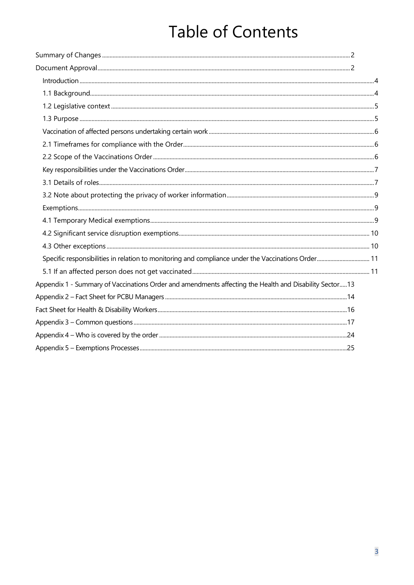# **Table of Contents**

| Specific responsibilities in relation to monitoring and compliance under the Vaccinations Order 11     |  |
|--------------------------------------------------------------------------------------------------------|--|
|                                                                                                        |  |
| Appendix 1 - Summary of Vaccinations Order and amendments affecting the Health and Disability Sector13 |  |
|                                                                                                        |  |
|                                                                                                        |  |
|                                                                                                        |  |
|                                                                                                        |  |
|                                                                                                        |  |
|                                                                                                        |  |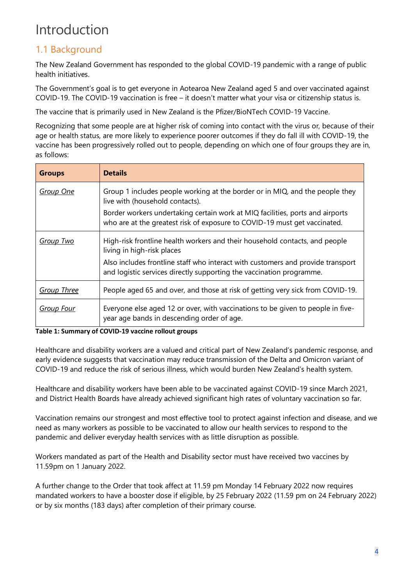# <span id="page-3-0"></span>Introduction

# <span id="page-3-1"></span>1.1 Background

The New Zealand Government has responded to the global COVID-19 pandemic with a range of public health initiatives.

The Government's goal is to get everyone in Aotearoa New Zealand aged 5 and over vaccinated against COVID-19. The COVID-19 vaccination is free – it doesn't matter what your visa or citizenship status is.

The vaccine that is primarily used in New Zealand is the Pfizer/BioNTech COVID-19 Vaccine.

Recognizing that some people are at higher risk of coming into contact with the virus or, because of their age or health status, are more likely to experience poorer outcomes if they do fall ill with COVID-19, the vaccine has been progressively rolled out to people, depending on which one of four groups they are in, as follows:

| <b>Groups</b>      | <b>Details</b>                                                                                                                                             |
|--------------------|------------------------------------------------------------------------------------------------------------------------------------------------------------|
| <b>Group One</b>   | Group 1 includes people working at the border or in MIQ, and the people they<br>live with (household contacts).                                            |
|                    | Border workers undertaking certain work at MIQ facilities, ports and airports<br>who are at the greatest risk of exposure to COVID-19 must get vaccinated. |
| <b>Group Two</b>   | High-risk frontline health workers and their household contacts, and people<br>living in high-risk places                                                  |
|                    | Also includes frontline staff who interact with customers and provide transport<br>and logistic services directly supporting the vaccination programme.    |
| <b>Group Three</b> | People aged 65 and over, and those at risk of getting very sick from COVID-19.                                                                             |
| <b>Group Four</b>  | Everyone else aged 12 or over, with vaccinations to be given to people in five-<br>year age bands in descending order of age.                              |

#### **Table 1: Summary of COVID-19 vaccine rollout groups**

Healthcare and disability workers are a valued and critical part of New Zealand's pandemic response, and early evidence suggests that vaccination may reduce transmission of the Delta and Omicron variant of COVID-19 and reduce the risk of serious illness, which would burden New Zealand's health system.

Healthcare and disability workers have been able to be vaccinated against COVID-19 since March 2021, and District Health Boards have already achieved significant high rates of voluntary vaccination so far.

Vaccination remains our strongest and most effective tool to protect against infection and disease, and we need as many workers as possible to be vaccinated to allow our health services to respond to the pandemic and deliver everyday health services with as little disruption as possible.

Workers mandated as part of the Health and Disability sector must have received two vaccines by 11.59pm on 1 January 2022.

A further change to the Order that took affect at 11.59 pm Monday 14 February 2022 now requires mandated workers to have a booster dose if eligible, by 25 February 2022 (11.59 pm on 24 February 2022) or by six months (183 days) after completion of their primary course.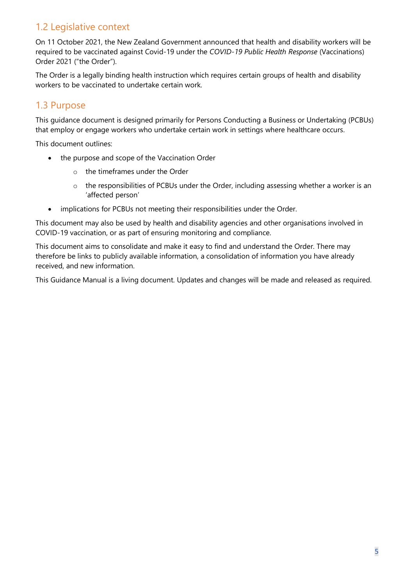# <span id="page-4-0"></span>1.2 Legislative context

On 11 October 2021, the New Zealand Government announced that health and disability workers will be required to be vaccinated against Covid-19 under the *COVID-19 Public Health Response* (Vaccinations) Order 2021 ("the Order").

The Order is a legally binding health instruction which requires certain groups of health and disability workers to be vaccinated to undertake certain work.

### <span id="page-4-1"></span>1.3 Purpose

This guidance document is designed primarily for Persons Conducting a Business or Undertaking (PCBUs) that employ or engage workers who undertake certain work in settings where healthcare occurs.

This document outlines:

- the purpose and scope of the Vaccination Order
	- o the timeframes under the Order
	- o the responsibilities of PCBUs under the Order, including assessing whether a worker is an 'affected person'
- implications for PCBUs not meeting their responsibilities under the Order.

This document may also be used by health and disability agencies and other organisations involved in COVID-19 vaccination, or as part of ensuring monitoring and compliance.

This document aims to consolidate and make it easy to find and understand the Order. There may therefore be links to publicly available information, a consolidation of information you have already received, and new information.

This Guidance Manual is a living document. Updates and changes will be made and released as required.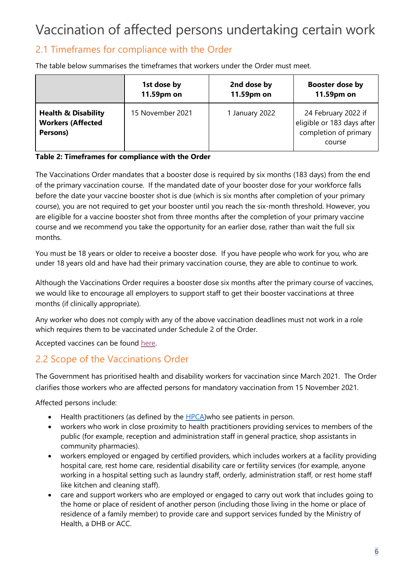# <span id="page-5-0"></span>Vaccination of affected persons undertaking certain work

## <span id="page-5-1"></span>2.1 Timeframes for compliance with the Order

The table below summarises the timeframes that workers under the Order must meet.

|                                                                        | 1st dose by      | 2nd dose by    | Booster dose by                                                                      |
|------------------------------------------------------------------------|------------------|----------------|--------------------------------------------------------------------------------------|
|                                                                        | 11.59pm on       | 11.59pm on     | 11.59pm on                                                                           |
| <b>Health &amp; Disability</b><br><b>Workers (Affected</b><br>Persons) | 15 November 2021 | 1 January 2022 | 24 February 2022 if<br>eligible or 183 days after<br>completion of primary<br>course |

#### **Table 2: Timeframes for compliance with the Order**

The Vaccinations Order mandates that a booster dose is required by six months (183 days) from the end of the primary vaccination course. If the mandated date of your booster dose for your workforce falls before the date your vaccine booster shot is due (which is six months after completion of your primary course), you are not required to get your booster until you reach the six-month threshold. However, you are eligible for a vaccine booster shot from three months after the completion of your primary vaccine course and we recommend you take the opportunity for an earlier dose, rather than wait the full six months.

You must be 18 years or older to receive a booster dose. If you have people who work for you, who are under 18 years old and have had their primary vaccination course, they are able to continue to work.

Although the Vaccinations Order requires a booster dose six months after the primary course of vaccines, we would like to encourage all employers to support staff to get their booster vaccinations at three months (if clinically appropriate).

Any worker who does not comply with any of the above vaccination deadlines must not work in a role which requires them to be vaccinated under Schedule 2 of the Order.

Accepted vaccines can be found [here.](https://www.legislation.govt.nz/regulation/public/2021/0094/latest/LMS573022.html?search=ad_regulation___2021___25_an%40bn%40rc%40dn%40apub%40aloc%40apri%40apro%40aimp%40bgov%40bloc%40bpri%40bmem%40rpub%40rimp_rc%40ainf%40anif%40bcur%40rinf%40rnif%40raif%40rasm%40rrev_y_aw_se&p=1#LMS573022)

### <span id="page-5-2"></span>2.2 Scope of the Vaccinations Order

The Government has prioritised health and disability workers for vaccination since March 2021. The Order clarifies those workers who are affected persons for mandatory vaccination from 15 November 2021.

Affected persons include:

- $\bullet$  Health practitioners (as defined by the [HPCA\)](https://www.legislation.govt.nz/act/public/2003/0048/latest/DLM203312.html) who see patients in person.
- workers who work in close proximity to health practitioners providing services to members of the public (for example, reception and administration staff in general practice, shop assistants in community pharmacies).
- workers employed or engaged by certified providers, which includes workers at a facility providing hospital care, rest home care, residential disability care or fertility services (for example, anyone working in a hospital setting such as laundry staff, orderly, administration staff, or rest home staff like kitchen and cleaning staff).
- care and support workers who are employed or engaged to carry out work that includes going to the home or place of resident of another person (including those living in the home or place of residence of a family member) to provide care and support services funded by the Ministry of Health, a DHB or ACC.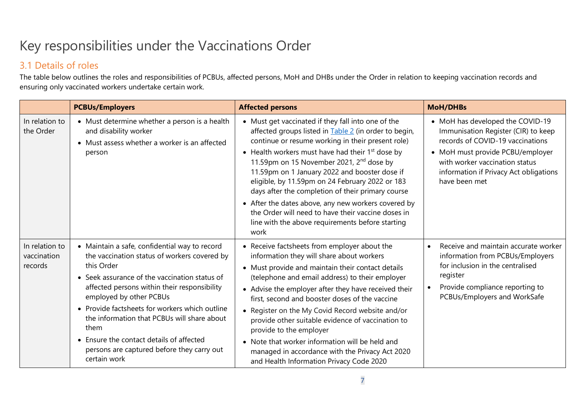# Key responsibilities under the Vaccinations Order

## 3.1 Details of roles

The table below outlines the roles and responsibilities of PCBUs, affected persons, MoH and DHBs under the Order in relation to keeping vaccination records and ensuring only vaccinated workers undertake certain work.

<span id="page-6-1"></span><span id="page-6-0"></span>

|                                          | <b>PCBUs/Employers</b>                                                                                                                                                                                                                                                                                                                                                                                                                                     | <b>Affected persons</b>                                                                                                                                                                                                                                                                                                                                                                                                                                                                                                                                                                                          | <b>MoH/DHBs</b>                                                                                                                                                                                                                              |
|------------------------------------------|------------------------------------------------------------------------------------------------------------------------------------------------------------------------------------------------------------------------------------------------------------------------------------------------------------------------------------------------------------------------------------------------------------------------------------------------------------|------------------------------------------------------------------------------------------------------------------------------------------------------------------------------------------------------------------------------------------------------------------------------------------------------------------------------------------------------------------------------------------------------------------------------------------------------------------------------------------------------------------------------------------------------------------------------------------------------------------|----------------------------------------------------------------------------------------------------------------------------------------------------------------------------------------------------------------------------------------------|
| In relation to<br>the Order              | • Must determine whether a person is a health<br>and disability worker<br>• Must assess whether a worker is an affected<br>person                                                                                                                                                                                                                                                                                                                          | • Must get vaccinated if they fall into one of the<br>affected groups listed in Table 2 (in order to begin,<br>continue or resume working in their present role)<br>• Health workers must have had their $1st$ dose by<br>11.59pm on 15 November 2021, 2 <sup>nd</sup> dose by<br>11.59pm on 1 January 2022 and booster dose if<br>eligible, by 11.59pm on 24 February 2022 or 183<br>days after the completion of their primary course<br>• After the dates above, any new workers covered by<br>the Order will need to have their vaccine doses in<br>line with the above requirements before starting<br>work | • MoH has developed the COVID-19<br>Immunisation Register (CIR) to keep<br>records of COVID-19 vaccinations<br>• MoH must provide PCBU/employer<br>with worker vaccination status<br>information if Privacy Act obligations<br>have been met |
| In relation to<br>vaccination<br>records | • Maintain a safe, confidential way to record<br>the vaccination status of workers covered by<br>this Order<br>• Seek assurance of the vaccination status of<br>affected persons within their responsibility<br>employed by other PCBUs<br>• Provide factsheets for workers which outline<br>the information that PCBUs will share about<br>them<br>• Ensure the contact details of affected<br>persons are captured before they carry out<br>certain work | • Receive factsheets from employer about the<br>information they will share about workers<br>• Must provide and maintain their contact details<br>(telephone and email address) to their employer<br>• Advise the employer after they have received their<br>first, second and booster doses of the vaccine<br>• Register on the My Covid Record website and/or<br>provide other suitable evidence of vaccination to<br>provide to the employer<br>• Note that worker information will be held and<br>managed in accordance with the Privacy Act 2020<br>and Health Information Privacy Code 2020                | Receive and maintain accurate worker<br>information from PCBUs/Employers<br>for inclusion in the centralised<br>register<br>Provide compliance reporting to<br>PCBUs/Employers and WorkSafe                                                  |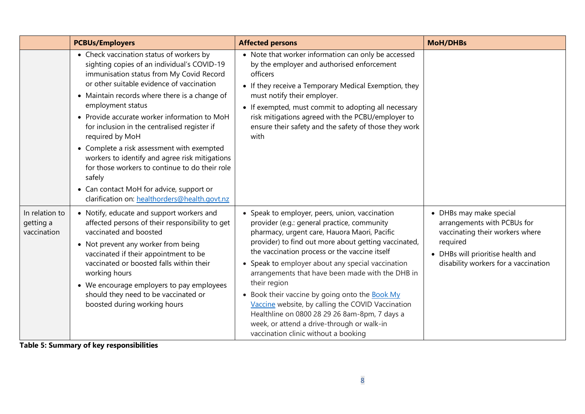|                                            | <b>PCBUs/Employers</b>                                                                                                                                                                                                                                                                                                                                                                                                                                                                                                                                                                                                             | <b>Affected persons</b>                                                                                                                                                                                                                                                                                                                                                                                                                                                                                                                                                                                                       | <b>MoH/DHBs</b>                                                                                                                                                                    |
|--------------------------------------------|------------------------------------------------------------------------------------------------------------------------------------------------------------------------------------------------------------------------------------------------------------------------------------------------------------------------------------------------------------------------------------------------------------------------------------------------------------------------------------------------------------------------------------------------------------------------------------------------------------------------------------|-------------------------------------------------------------------------------------------------------------------------------------------------------------------------------------------------------------------------------------------------------------------------------------------------------------------------------------------------------------------------------------------------------------------------------------------------------------------------------------------------------------------------------------------------------------------------------------------------------------------------------|------------------------------------------------------------------------------------------------------------------------------------------------------------------------------------|
|                                            | • Check vaccination status of workers by<br>sighting copies of an individual's COVID-19<br>immunisation status from My Covid Record<br>or other suitable evidence of vaccination<br>• Maintain records where there is a change of<br>employment status<br>• Provide accurate worker information to MoH<br>for inclusion in the centralised register if<br>required by MoH<br>• Complete a risk assessment with exempted<br>workers to identify and agree risk mitigations<br>for those workers to continue to do their role<br>safely<br>• Can contact MoH for advice, support or<br>clarification on: healthorders@health.govt.nz | • Note that worker information can only be accessed<br>by the employer and authorised enforcement<br>officers<br>• If they receive a Temporary Medical Exemption, they<br>must notify their employer.<br>• If exempted, must commit to adopting all necessary<br>risk mitigations agreed with the PCBU/employer to<br>ensure their safety and the safety of those they work<br>with                                                                                                                                                                                                                                           |                                                                                                                                                                                    |
| In relation to<br>getting a<br>vaccination | • Notify, educate and support workers and<br>affected persons of their responsibility to get<br>vaccinated and boosted<br>• Not prevent any worker from being<br>vaccinated if their appointment to be<br>vaccinated or boosted falls within their<br>working hours<br>• We encourage employers to pay employees<br>should they need to be vaccinated or<br>boosted during working hours                                                                                                                                                                                                                                           | • Speak to employer, peers, union, vaccination<br>provider (e.g.: general practice, community<br>pharmacy, urgent care, Hauora Maori, Pacific<br>provider) to find out more about getting vaccinated,<br>the vaccination process or the vaccine itself<br>• Speak to employer about any special vaccination<br>arrangements that have been made with the DHB in<br>their region<br>• Book their vaccine by going onto the Book My<br>Vaccine website, by calling the COVID Vaccination<br>Healthline on 0800 28 29 26 8am-8pm, 7 days a<br>week, or attend a drive-through or walk-in<br>vaccination clinic without a booking | • DHBs may make special<br>arrangements with PCBUs for<br>vaccinating their workers where<br>required<br>• DHBs will prioritise health and<br>disability workers for a vaccination |

**Table 5: Summary of key responsibilities**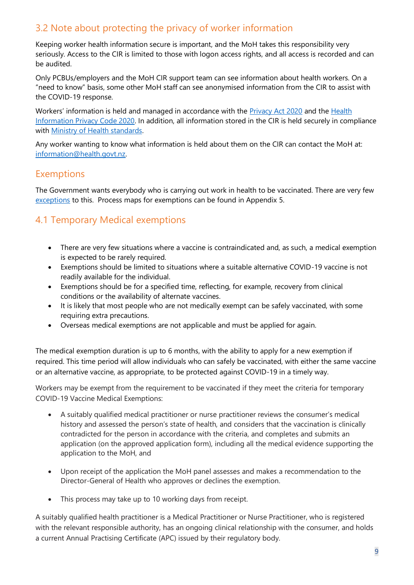### <span id="page-8-0"></span>3.2 Note about protecting the privacy of worker information

Keeping worker health information secure is important, and the MoH takes this responsibility very seriously. Access to the CIR is limited to those with logon access rights, and all access is recorded and can be audited.

Only PCBUs/employers and the MoH CIR support team can see information about health workers. On a "need to know" basis, some other MoH staff can see anonymised information from the CIR to assist with the COVID-19 response.

Workers' information is held and managed in accordance with the [Privacy Act 2020](https://www.legislation.govt.nz/act/public/2020/0031/latest/LMS23223.html) and the [Health](https://www.privacy.org.nz/assets/Codes-of-Practice-2020/Health-Information-Privacy-Code-2020-website-version.pdf)  [Information Privacy Code 2020.](https://www.privacy.org.nz/assets/Codes-of-Practice-2020/Health-Information-Privacy-Code-2020-website-version.pdf) In addition, all information stored in the CIR is held securely in compliance with [Ministry of Health standards.](https://www.health.govt.nz/nz-health-statistics/access-and-use/data-protection-and-privacy) 

Any worker wanting to know what information is held about them on the CIR can contact the MoH at: [information@health.govt.nz.](mailto:information@health.govt.nz)

### <span id="page-8-1"></span>Exemptions

The Government wants everybody who is carrying out work in health to be vaccinated. There are very few [exceptions](https://www.health.govt.nz/our-work/diseases-and-conditions/covid-19-novel-coronavirus/covid-19-response-planning/covid-19-mandatory-vaccinations/covid-19-exemptions-mandatory-vaccination) to this. Process maps for exemptions can be found in Appendix 5.

### <span id="page-8-2"></span>4.1 Temporary Medical exemptions

- There are very few situations where a vaccine is contraindicated and, as such, a [medical exemption](https://www.health.govt.nz/our-work/diseases-and-conditions/covid-19-novel-coronavirus/covid-19-response-planning/covid-19-mandatory-vaccinations/covid-19-exemptions-mandatory-vaccination#temp-exempt) is expected to be rarely required.
- Exemptions should be limited to situations where a suitable alternative COVID-19 vaccine is not readily available for the individual.
- Exemptions should be for a specified time, reflecting, for example, recovery from clinical conditions or the availability of alternate vaccines.
- It is likely that most people who are not medically exempt can be safely vaccinated, with some requiring extra precautions.
- Overseas medical exemptions are not applicable and must be applied for again.

The medical exemption duration is up to 6 months, with the ability to apply for a new exemption if required. This time period will allow individuals who can safely be vaccinated, with either the same vaccine or an alternative vaccine, as appropriate, to be protected against COVID-19 in a timely way.

Workers may be exempt from the requirement to be vaccinated if they meet the criteria for temporary COVID-19 Vaccine Medical Exemptions:

- A suitably qualified medical practitioner or nurse practitioner reviews the consumer's medical history and assessed the person's state of health, and considers that the vaccination is clinically contradicted for the person in accordance with the criteria, and completes and submits an application (on the approved application form), including all the medical evidence supporting the application to the MoH, and
- Upon receipt of the application the MoH panel assesses and makes a recommendation to the Director-General of Health who approves or declines the exemption.
- This process may take up to 10 working days from receipt.

A suitably qualified health practitioner is a Medical Practitioner or Nurse Practitioner, who is registered with the relevant responsible authority, has an ongoing clinical relationship with the consumer, and holds a current Annual Practising Certificate (APC) issued by their regulatory body.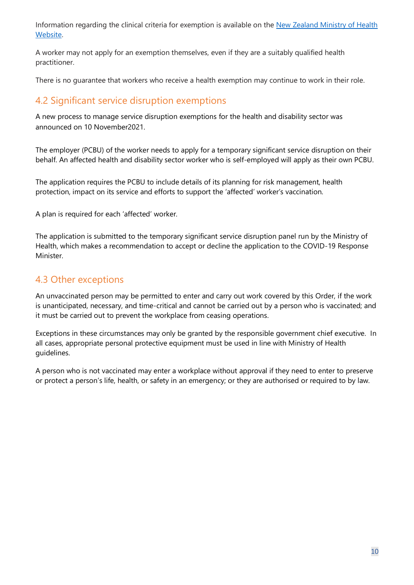Information regarding the clinical criteria for exemption is available on the New Zealand Ministry of Health [Website.](https://www.health.govt.nz/our-work/diseases-and-conditions/covid-19-novel-coronavirus/covid-19-response-planning/covid-19-mandatory-vaccinations/covid-19-exemptions-mandatory-vaccination#temp-exempt)

A worker may not apply for an exemption themselves, even if they are a suitably qualified health practitioner.

There is no guarantee that workers who receive a health exemption may continue to work in their role.

### <span id="page-9-0"></span>4.2 Significant service disruption exemptions

A new process to manage [service disruption exemptions](https://www.health.govt.nz/our-work/diseases-and-conditions/covid-19-novel-coronavirus/covid-19-response-planning/covid-19-mandatory-vaccinations/covid-19-exemptions-mandatory-vaccination#service-disruption) for the health and disability sector was announced on 10 November2021.

The employer (PCBU) of the worker needs to apply for a temporary significant service disruption on their behalf. An affected health and disability sector worker who is self-employed will apply as their own PCBU.

The application requires the PCBU to include details of its planning for risk management, health protection, impact on its service and efforts to support the 'affected' worker's vaccination.

A plan is required for each 'affected' worker.

The application is submitted to the temporary significant service disruption panel run by the Ministry of Health, which makes a recommendation to accept or decline the application to the COVID-19 Response Minister.

### <span id="page-9-1"></span>4.3 Other exceptions

An unvaccinated person may be permitted to enter and carry out work covered by this Order, if the work is unanticipated, necessary, and time-critical and cannot be carried out by a person who is vaccinated; and it must be carried out to prevent the workplace from ceasing operations.

Exceptions in these circumstances may only be granted by the responsible government chief executive. In all cases, appropriate personal protective equipment must be used in line with Ministry of Health guidelines.

A person who is not vaccinated may enter a workplace without approval if they need to enter to preserve or protect a person's life, health, or safety in an emergency; or they are authorised or required to by law.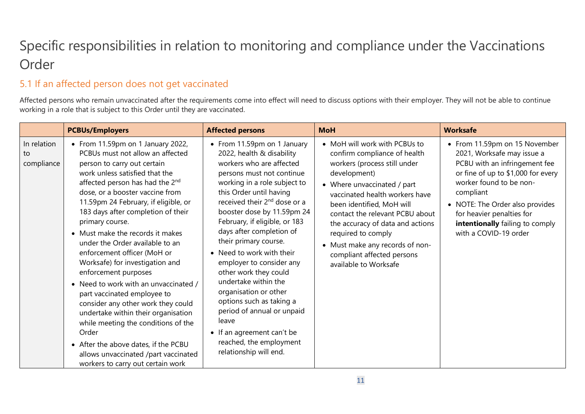# Specific responsibilities in relation to monitoring and compliance under the Vaccinations Order

# 5.1 If an affected person does not get vaccinated

Affected persons who remain unvaccinated after the requirements come into effect will need to discuss options with their employer. They will not be able to continue working in a role that is subject to this Order until they are vaccinated.

<span id="page-10-1"></span><span id="page-10-0"></span>

|                                 | <b>PCBUs/Employers</b>                                                                                                                                                                                                                                                                                                                                                                                                                                                                                                                                                                                                                                                                                                                                                                                               | <b>Affected persons</b>                                                                                                                                                                                                                                                                                                                                                                                                                                                                                                                                                                                                               | <b>MoH</b>                                                                                                                                                                                                                                                                                                                                                                                         | <b>Worksafe</b>                                                                                                                                                                                                                                                                                        |
|---------------------------------|----------------------------------------------------------------------------------------------------------------------------------------------------------------------------------------------------------------------------------------------------------------------------------------------------------------------------------------------------------------------------------------------------------------------------------------------------------------------------------------------------------------------------------------------------------------------------------------------------------------------------------------------------------------------------------------------------------------------------------------------------------------------------------------------------------------------|---------------------------------------------------------------------------------------------------------------------------------------------------------------------------------------------------------------------------------------------------------------------------------------------------------------------------------------------------------------------------------------------------------------------------------------------------------------------------------------------------------------------------------------------------------------------------------------------------------------------------------------|----------------------------------------------------------------------------------------------------------------------------------------------------------------------------------------------------------------------------------------------------------------------------------------------------------------------------------------------------------------------------------------------------|--------------------------------------------------------------------------------------------------------------------------------------------------------------------------------------------------------------------------------------------------------------------------------------------------------|
| In relation<br>to<br>compliance | • From 11.59pm on 1 January 2022,<br>PCBUs must not allow an affected<br>person to carry out certain<br>work unless satisfied that the<br>affected person has had the 2 <sup>nd</sup><br>dose, or a booster vaccine from<br>11.59pm 24 February, if eligible, or<br>183 days after completion of their<br>primary course.<br>• Must make the records it makes<br>under the Order available to an<br>enforcement officer (MoH or<br>Worksafe) for investigation and<br>enforcement purposes<br>• Need to work with an unvaccinated /<br>part vaccinated employee to<br>consider any other work they could<br>undertake within their organisation<br>while meeting the conditions of the<br>Order<br>• After the above dates, if the PCBU<br>allows unvaccinated /part vaccinated<br>workers to carry out certain work | • From 11.59pm on 1 January<br>2022, health & disability<br>workers who are affected<br>persons must not continue<br>working in a role subject to<br>this Order until having<br>received their 2 <sup>nd</sup> dose or a<br>booster dose by 11.59pm 24<br>February, if eligible, or 183<br>days after completion of<br>their primary course.<br>• Need to work with their<br>employer to consider any<br>other work they could<br>undertake within the<br>organisation or other<br>options such as taking a<br>period of annual or unpaid<br>leave<br>• If an agreement can't be<br>reached, the employment<br>relationship will end. | • MoH will work with PCBUs to<br>confirm compliance of health<br>workers (process still under<br>development)<br>• Where unvaccinated / part<br>vaccinated health workers have<br>been identified, MoH will<br>contact the relevant PCBU about<br>the accuracy of data and actions<br>required to comply<br>• Must make any records of non-<br>compliant affected persons<br>available to Worksafe | • From 11.59pm on 15 November<br>2021, Worksafe may issue a<br>PCBU with an infringement fee<br>or fine of up to \$1,000 for every<br>worker found to be non-<br>compliant<br>• NOTE: The Order also provides<br>for heavier penalties for<br>intentionally failing to comply<br>with a COVID-19 order |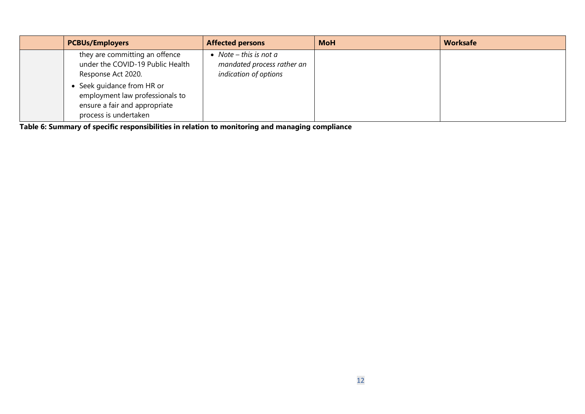| <b>PCBUs/Employers</b>                                                                                                | <b>Affected persons</b>                                                       | <b>MoH</b> | <b>Worksafe</b> |
|-----------------------------------------------------------------------------------------------------------------------|-------------------------------------------------------------------------------|------------|-----------------|
| they are committing an offence<br>under the COVID-19 Public Health<br>Response Act 2020.                              | • Note – this is not a<br>mandated process rather an<br>indication of options |            |                 |
| Seek guidance from HR or<br>employment law professionals to<br>ensure a fair and appropriate<br>process is undertaken |                                                                               |            |                 |

**Table 6: Summary of specific responsibilities in relation to monitoring and managing compliance**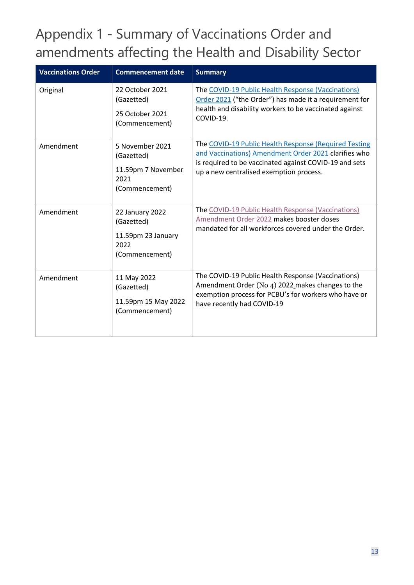# <span id="page-12-0"></span>Appendix 1 - Summary of Vaccinations Order and amendments affecting the Health and Disability Sector

| <b>Vaccinations Order</b> | <b>Commencement date</b>                                                      | <b>Summary</b>                                                                                                                                                                                                     |
|---------------------------|-------------------------------------------------------------------------------|--------------------------------------------------------------------------------------------------------------------------------------------------------------------------------------------------------------------|
| Original                  | 22 October 2021<br>(Gazetted)<br>25 October 2021<br>(Commencement)            | The COVID-19 Public Health Response (Vaccinations)<br>Order 2021 ("the Order") has made it a requirement for<br>health and disability workers to be vaccinated against<br>COVID-19.                                |
| Amendment                 | 5 November 2021<br>(Gazetted)<br>11.59pm 7 November<br>2021<br>(Commencement) | The COVID-19 Public Health Response (Required Testing<br>and Vaccinations) Amendment Order 2021 clarifies who<br>is required to be vaccinated against COVID-19 and sets<br>up a new centralised exemption process. |
| Amendment                 | 22 January 2022<br>(Gazetted)<br>11.59pm 23 January<br>2022<br>(Commencement) | The COVID-19 Public Health Response (Vaccinations)<br>Amendment Order 2022 makes booster doses<br>mandated for all workforces covered under the Order.                                                             |
| Amendment                 | 11 May 2022<br>(Gazetted)<br>11.59pm 15 May 2022<br>(Commencement)            | The COVID-19 Public Health Response (Vaccinations)<br>Amendment Order (No 4) 2022 makes changes to the<br>exemption process for PCBU's for workers who have or<br>have recently had COVID-19                       |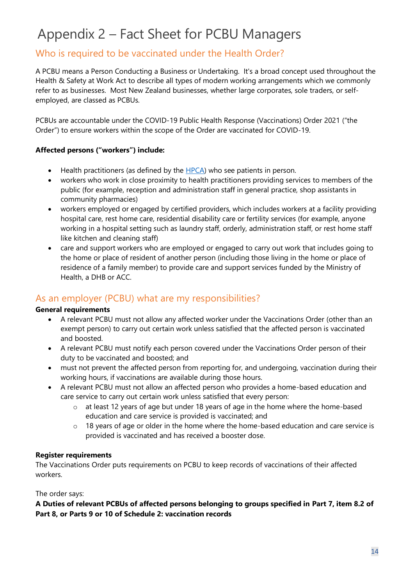# <span id="page-13-0"></span>Appendix 2 – Fact Sheet for PCBU Managers

### Who is required to be vaccinated under the Health Order?

A PCBU means a Person Conducting a Business or Undertaking. It's a broad concept used throughout the Health & Safety at Work Act to describe all types of modern working arrangements which we commonly refer to as businesses. Most New Zealand businesses, whether large corporates, sole traders, or selfemployed, are classed as PCBUs.

PCBUs are accountable under the COVID-19 Public Health Response (Vaccinations) Order 2021 ("the Order") to ensure workers within the scope of the Order are vaccinated for COVID-19.

#### **Affected persons ("workers") include:**

- $\bullet$  Health practitioners (as defined by the  $HPCA$ ) who see patients in person.
- workers who work in close proximity to health practitioners providing services to members of the public (for example, reception and administration staff in general practice, shop assistants in community pharmacies)
- workers employed or engaged by certified providers, which includes workers at a facility providing hospital care, rest home care, residential disability care or fertility services (for example, anyone working in a hospital setting such as laundry staff, orderly, administration staff, or rest home staff like kitchen and cleaning staff)
- care and support workers who are employed or engaged to carry out work that includes going to the home or place of resident of another person (including those living in the home or place of residence of a family member) to provide care and support services funded by the Ministry of Health, a DHB or ACC.

### As an employer (PCBU) what are my responsibilities?

#### **General requirements**

- A relevant PCBU must not allow any affected worker under the Vaccinations Order (other than an exempt person) to carry out certain work unless satisfied that the affected person is vaccinated and boosted.
- A relevant PCBU must notify each person covered under the Vaccinations Order person of their duty to be vaccinated and boosted; and
- must not prevent the affected person from reporting for, and undergoing, vaccination during their working hours, if vaccinations are available during those hours.
- A relevant PCBU must not allow an affected person who provides a home-based education and care service to carry out certain work unless satisfied that every person:
	- o at least 12 years of age but under 18 years of age in the home where the home-based education and care service is provided is vaccinated; and
	- $\circ$  18 years of age or older in the home where the home-based education and care service is provided is vaccinated and has received a booster dose.

#### **Register requirements**

The [Vaccinations Order](https://www.legislation.govt.nz/regulation/public/2021/0094/latest/LMS580570.html) puts requirements on PCBU to keep records of vaccinations of their affected workers.

#### The order says:

**A Duties of relevant PCBUs of affected persons belonging to groups specified in Part 7, item 8.2 of Part 8, or Parts 9 or 10 of Schedule 2: vaccination records**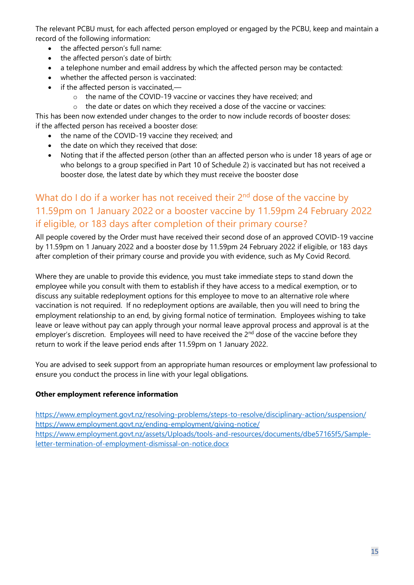The relevant PCBU must, for each affected person employed or engaged by the PCBU, keep and maintain a record of the following information:

- the affected person's full name:
- the affected person's date of birth:
- a telephone number and email address by which the affected person may be contacted:
- whether the affected person is vaccinated:
- if the affected person is vaccinated,
	- o the name of the COVID-19 vaccine or vaccines they have received; and
	- o the date or dates on which they received a dose of the vaccine or vaccines:

This has been now extended under changes to the order to now include records of booster doses: if the affected person has received a booster dose:

- the name of the COVID-19 vaccine they received; and
- the date on which they received that dose:
- Noting that if the affected person (other than an affected person who is under 18 years of age or who belongs to a group specified in Part 10 of Schedule 2) is vaccinated but has not received a booster dose, the latest date by which they must receive the booster dose

### What do I do if a worker has not received their 2<sup>nd</sup> dose of the vaccine by 11.59pm on 1 January 2022 or a booster vaccine by 11.59pm 24 February 2022 if eligible, or 183 days after completion of their primary course?

All people covered by the Order must have received their second dose of an approved COVID-19 vaccine by 11.59pm on 1 January 2022 and a booster dose by 11.59pm 24 February 2022 if eligible, or 183 days after completion of their primary course and provide you with evidence, such as My Covid Record.

Where they are unable to provide this evidence, you must take immediate steps to stand down the employee while you consult with them to establish if they have access to a medical exemption, or to discuss any suitable redeployment options for this employee to move to an alternative role where vaccination is not required. If no redeployment options are available, then you will need to bring the employment relationship to an end, by giving formal notice of termination. Employees wishing to take leave or leave without pay can apply through your normal leave approval process and approval is at the employer's discretion. Employees will need to have received the 2<sup>nd</sup> dose of the vaccine before they return to work if the leave period ends after 11.59pm on 1 January 2022.

You are advised to seek support from an appropriate human resources or employment law professional to ensure you conduct the process in line with your legal obligations.

#### **Other employment reference information**

<https://www.employment.govt.nz/resolving-problems/steps-to-resolve/disciplinary-action/suspension/> <https://www.employment.govt.nz/ending-employment/giving-notice/> [https://www.employment.govt.nz/assets/Uploads/tools-and-resources/documents/dbe57165f5/Sample](https://www.employment.govt.nz/assets/Uploads/tools-and-resources/documents/dbe57165f5/Sample-letter-termination-of-employment-dismissal-on-notice.docx)[letter-termination-of-employment-dismissal-on-notice.docx](https://www.employment.govt.nz/assets/Uploads/tools-and-resources/documents/dbe57165f5/Sample-letter-termination-of-employment-dismissal-on-notice.docx)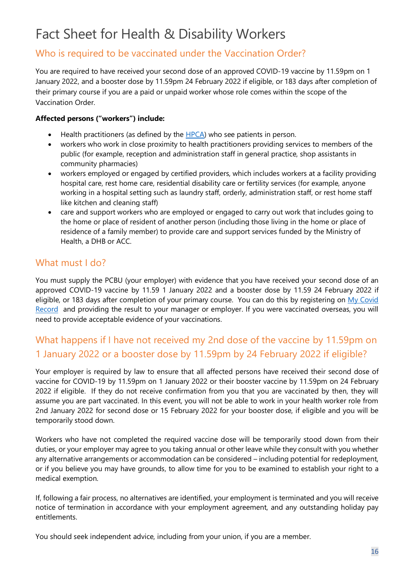# <span id="page-15-0"></span>Fact Sheet for Health & Disability Workers

### Who is required to be vaccinated under the Vaccination Order?

You are required to have received your second dose of an approved COVID-19 vaccine by 11.59pm on 1 January 2022, and a booster dose by 11.59pm 24 February 2022 if eligible, or 183 days after completion of their primary course if you are a paid or unpaid worker whose role comes within the scope of the Vaccination Order.

#### **Affected persons ("workers") include:**

- Health practitioners (as defined by the [HPCA\)](https://www.legislation.govt.nz/act/public/2003/0048/latest/DLM203312.html) who see patients in person.
- workers who work in close proximity to health practitioners providing services to members of the public (for example, reception and administration staff in general practice, shop assistants in community pharmacies)
- workers employed or engaged by certified providers, which includes workers at a facility providing hospital care, rest home care, residential disability care or fertility services (for example, anyone working in a hospital setting such as laundry staff, orderly, administration staff, or rest home staff like kitchen and cleaning staff)
- care and support workers who are employed or engaged to carry out work that includes going to the home or place of resident of another person (including those living in the home or place of residence of a family member) to provide care and support services funded by the Ministry of Health, a DHB or ACC.

### What must I do?

You must supply the PCBU (your employer) with evidence that you have received your second dose of an approved COVID-19 vaccine by 11.59 1 January 2022 and a booster dose by 11.59 24 February 2022 if eligible, or 183 days after completion of your primary course. You can do this by registering on My Covid [Record](https://mycovidrecord.health.nz/) and providing the result to your manager or employer. If you were vaccinated overseas, you will need to provide acceptable evidence of your vaccinations.

# What happens if I have not received my 2nd dose of the vaccine by 11.59pm on 1 January 2022 or a booster dose by 11.59pm by 24 February 2022 if eligible?

Your employer is required by law to ensure that all affected persons have received their second dose of vaccine for COVID-19 by 11.59pm on 1 January 2022 or their booster vaccine by 11.59pm on 24 February 2022 if eligible. If they do not receive confirmation from you that you are vaccinated by then, they will assume you are part vaccinated. In this event, you will not be able to work in your health worker role from 2nd January 2022 for second dose or 15 February 2022 for your booster dose, if eligible and you will be temporarily stood down.

Workers who have not completed the required vaccine dose will be temporarily stood down from their duties, or your employer may agree to you taking annual or other leave while they consult with you whether any alternative arrangements or accommodation can be considered – including potential for redeployment, or if you believe you may have grounds, to allow time for you to be examined to establish your right to a medical exemption.

If, following a fair process, no alternatives are identified, your employment is terminated and you will receive notice of termination in accordance with your employment agreement, and any outstanding holiday pay entitlements.

You should seek independent advice, including from your union, if you are a member.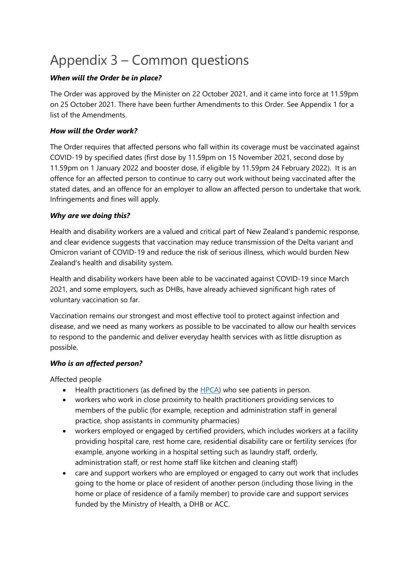# <span id="page-16-0"></span>Appendix 3 – Common questions

#### *When will the Order be in place?*

The Order was approved by the Minister on 22 October 2021, and it came into force at 11.59pm on 25 October 2021. There have been further Amendments to this Order. See Appendix 1 for a list of the Amendments.

#### *How will the Order work?*

The Order requires that affected persons who fall within its coverage must be vaccinated against COVID-19 by specified dates (first dose by 11.59pm on 15 November 2021, second dose by 11.59pm on 1 January 2022 and booster dose, if eligible by 11.59pm 24 February 2022). It is an offence for an affected person to continue to carry out work without being vaccinated after the stated dates, and an offence for an employer to allow an affected person to undertake that work. Infringements and fines will apply.

#### *Why are we doing this?*

Health and disability workers are a valued and critical part of New Zealand's pandemic response, and clear evidence suggests that vaccination may reduce transmission of the Delta variant and Omicron variant of COVID-19 and reduce the risk of serious illness, which would burden New Zealand's health and disability system.

Health and disability workers have been able to be vaccinated against COVID-19 since March 2021, and some employers, such as DHBs, have already achieved significant high rates of voluntary vaccination so far.

Vaccination remains our strongest and most effective tool to protect against infection and disease, and we need as many workers as possible to be vaccinated to allow our health services to respond to the pandemic and deliver everyday health services with as little disruption as possible.

#### *Who is an affected person?*

Affected people

- Health practitioners (as defined by the [HPCA\)](https://www.legislation.govt.nz/act/public/2003/0048/latest/DLM203312.html) who see patients in person.
- workers who work in close proximity to health practitioners providing services to members of the public (for example, reception and administration staff in general practice, shop assistants in community pharmacies)
- workers employed or engaged by certified providers, which includes workers at a facility providing hospital care, rest home care, residential disability care or fertility services (for example, anyone working in a hospital setting such as laundry staff, orderly, administration staff, or rest home staff like kitchen and cleaning staff)
- care and support workers who are employed or engaged to carry out work that includes going to the home or place of resident of another person (including those living in the home or place of residence of a family member) to provide care and support services funded by the Ministry of Health, a DHB or ACC.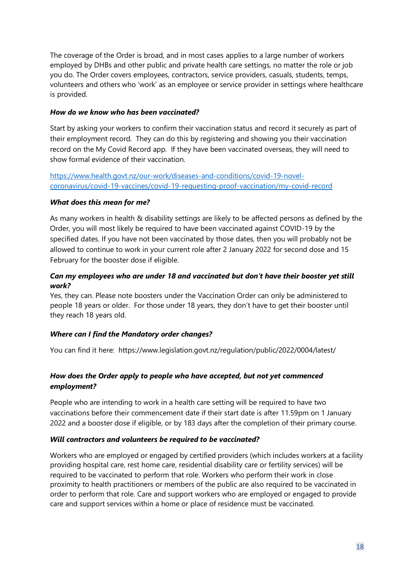The coverage of the Order is broad, and in most cases applies to a large number of workers employed by DHBs and other public and private health care settings, no matter the role or job you do. The Order covers employees, contractors, service providers, casuals, students, temps, volunteers and others who 'work' as an employee or service provider in settings where healthcare is provided.

#### *How do we know who has been vaccinated?*

Start by asking your workers to confirm their vaccination status and record it securely as part of their employment record. They can do this by registering and showing you their vaccination record on the My Covid Record app. If they have been vaccinated overseas, they will need to show formal evidence of their vaccination.

[https://www.health.govt.nz/our-work/diseases-and-conditions/covid-19-novel](https://www.health.govt.nz/our-work/diseases-and-conditions/covid-19-novel-coronavirus/covid-19-vaccines/covid-19-requesting-proof-vaccination/my-covid-record)[coronavirus/covid-19-vaccines/covid-19-requesting-proof-vaccination/my-covid-record](https://www.health.govt.nz/our-work/diseases-and-conditions/covid-19-novel-coronavirus/covid-19-vaccines/covid-19-requesting-proof-vaccination/my-covid-record)

#### *What does this mean for me?*

As many workers in health & disability settings are likely to be affected persons as defined by the Order, you will most likely be required to have been vaccinated against COVID-19 by the specified dates. If you have not been vaccinated by those dates, then you will probably not be allowed to continue to work in your current role after 2 January 2022 for second dose and 15 February for the booster dose if eligible.

#### *Can my employees who are under 18 and vaccinated but don't have their booster yet still work?*

Yes, they can. Please note boosters under the Vaccination Order can only be administered to people 18 years or older. For those under 18 years, they don't have to get their booster until they reach 18 years old.

#### *Where can I find the Mandatory order changes?*

You can find it here: [https://www.legislation.govt.nz/regulation/public/2022/0004/latest/](https://scanmail.trustwave.com/?c=15517&d=w6Lq4eJ5SrmBXSa6fznig4IgNfRC9zeBQYFu31QRXQ&u=https%3a%2f%2fwww%2elegislation%2egovt%2enz%2fregulation%2fpublic%2f2022%2f0004%2flatest%2fLMS629661%2ehtml%3fsearch%3dad%5fregulation%5f%5f%5f2022%5f%5f%5f25%5fan%2540bn%2540rc%2540dn%2540apub%2540aloc%2540apri%2540apro%2540aimp%2540bgov%2540bloc%2540bpri%2540bmem%2540rpub%2540rimp%5frc%2540ainf%2540anif%2540bcur%2540rinf%2540rnif%2540raif%2540rasm%2540rrev%5fa%5faw%5fse%26p%3d1)

#### *How does the Order apply to people who have accepted, but not yet commenced employment?*

People who are intending to work in a health care setting will be required to have two vaccinations before their commencement date if their start date is after 11.59pm on 1 January 2022 and a booster dose if eligible, or by 183 days after the completion of their primary course.

#### *Will contractors and volunteers be required to be vaccinated?*

Workers who are employed or engaged by certified providers (which includes workers at a facility providing hospital care, rest home care, residential disability care or fertility services) will be required to be vaccinated to perform that role. Workers who perform their work in close proximity to health practitioners or members of the public are also required to be vaccinated in order to perform that role. Care and support workers who are employed or engaged to provide care and support services within a home or place of residence must be vaccinated.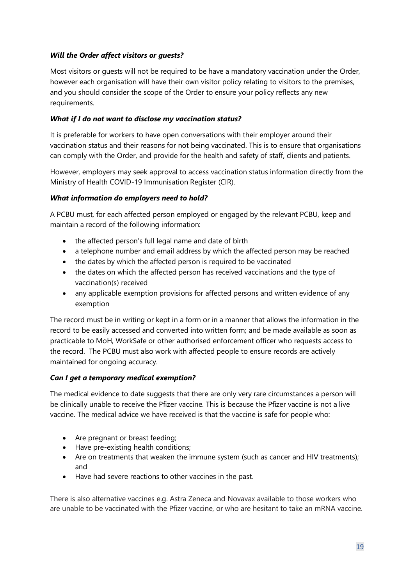#### *Will the Order affect visitors or guests?*

Most visitors or guests will not be required to be have a mandatory vaccination under the Order, however each organisation will have their own visitor policy relating to visitors to the premises, and you should consider the scope of the Order to ensure your policy reflects any new requirements.

#### *What if I do not want to disclose my vaccination status?*

It is preferable for workers to have open conversations with their employer around their vaccination status and their reasons for not being vaccinated. This is to ensure that organisations can comply with the Order, and provide for the health and safety of staff, clients and patients.

However, employers may seek approval to access vaccination status information directly from the Ministry of Health COVID-19 Immunisation Register (CIR).

#### *What information do employers need to hold?*

A PCBU must, for each affected person employed or engaged by the relevant PCBU, keep and maintain a record of the following information:

- the affected person's full legal name and date of birth
- a telephone number and email address by which the affected person may be reached
- the dates by which the affected person is required to be vaccinated
- the dates on which the affected person has received vaccinations and the type of vaccination(s) received
- any applicable exemption provisions for affected persons and written evidence of any exemption

The record must be in writing or kept in a form or in a manner that allows the information in the record to be easily accessed and converted into written form; and be made available as soon as practicable to MoH, WorkSafe or other authorised enforcement officer who requests access to the record. The PCBU must also work with affected people to ensure records are actively maintained for ongoing accuracy.

#### *Can I get a temporary medical exemption?*

The medical evidence to date suggests that there are only very rare circumstances a person will be clinically unable to receive the Pfizer vaccine. This is because the Pfizer vaccine is not a live vaccine. The medical advice we have received is that the vaccine is safe for people who:

- Are pregnant or breast feeding;
- Have pre-existing health conditions;
- Are on treatments that weaken the immune system (such as cancer and HIV treatments); and
- Have had severe reactions to other vaccines in the past.

There is also alternative vaccines e.g. Astra Zeneca and Novavax available to those workers who are unable to be vaccinated with the Pfizer vaccine, or who are hesitant to take an mRNA vaccine.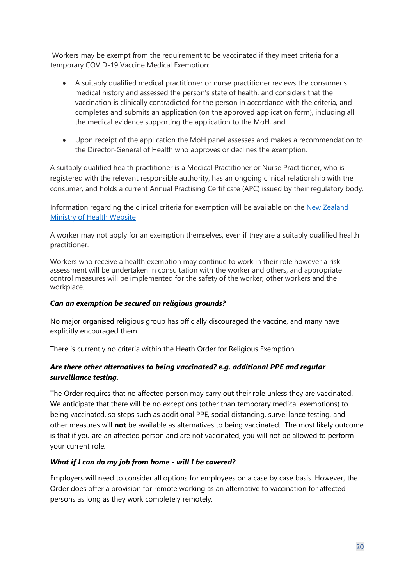Workers may be exempt from the requirement to be vaccinated if they meet criteria for a temporary COVID-19 Vaccine Medical Exemption:

- A suitably qualified medical practitioner or nurse practitioner reviews the consumer's medical history and assessed the person's state of health, and considers that the vaccination is clinically contradicted for the person in accordance with the criteria, and completes and submits an application (on the approved application form), including all the medical evidence supporting the application to the MoH, and
- Upon receipt of the application the MoH panel assesses and makes a recommendation to the Director-General of Health who approves or declines the exemption.

A suitably qualified health practitioner is a Medical Practitioner or Nurse Practitioner, who is registered with the relevant responsible authority, has an ongoing clinical relationship with the consumer, and holds a current Annual Practising Certificate (APC) issued by their regulatory body.

Information regarding the clinical criteria for exemption will be available on the [New Zealand](https://www.health.govt.nz/our-work/diseases-and-conditions/covid-19-novel-coronavirus/covid-19-response-planning/covid-19-mandatory-vaccinations/covid-19-exemptions-mandatory-vaccination#temp-exempt)  [Ministry of Health Website](https://www.health.govt.nz/our-work/diseases-and-conditions/covid-19-novel-coronavirus/covid-19-response-planning/covid-19-mandatory-vaccinations/covid-19-exemptions-mandatory-vaccination#temp-exempt)

A worker may not apply for an exemption themselves, even if they are a suitably qualified health practitioner.

Workers who receive a health exemption may continue to work in their role however a risk assessment will be undertaken in consultation with the worker and others, and appropriate control measures will be implemented for the safety of the worker, other workers and the workplace.

#### *Can an exemption be secured on religious grounds?*

No major organised religious group has officially discouraged the vaccine, and many [have](https://www.nytimes.com/2021/08/17/business/media/pope-covid-vaccine-ad.html)  [explicitly encouraged them.](https://www.nytimes.com/2021/08/17/business/media/pope-covid-vaccine-ad.html)

There is currently no criteria within the Heath Order for Religious Exemption.

#### *Are there other alternatives to being vaccinated? e.g. additional PPE and regular surveillance testing.*

The Order requires that no affected person may carry out their role unless they are vaccinated. We anticipate that there will be no exceptions (other than temporary medical exemptions) to being vaccinated, so steps such as additional PPE, social distancing, surveillance testing, and other measures will **not** be available as alternatives to being vaccinated. The most likely outcome is that if you are an affected person and are not vaccinated, you will not be allowed to perform your current role.

#### *What if I can do my job from home - will I be covered?*

Employers will need to consider all options for employees on a case by case basis. However, the Order does offer a provision for remote working as an alternative to vaccination for affected persons as long as they work completely remotely.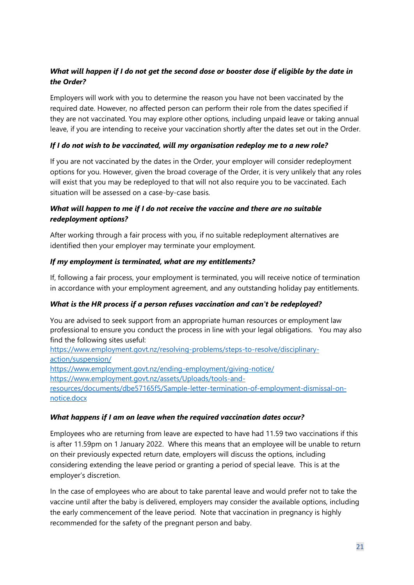#### *What will happen if I do not get the second dose or booster dose if eligible by the date in the Order?*

Employers will work with you to determine the reason you have not been vaccinated by the required date. However, no affected person can perform their role from the dates specified if they are not vaccinated. You may explore other options, including unpaid leave or taking annual leave, if you are intending to receive your vaccination shortly after the dates set out in the Order.

#### *If I do not wish to be vaccinated, will my organisation redeploy me to a new role?*

If you are not vaccinated by the dates in the Order, your employer will consider redeployment options for you. However, given the broad coverage of the Order, it is very unlikely that any roles will exist that you may be redeployed to that will not also require you to be vaccinated. Each situation will be assessed on a case-by-case basis.

#### *What will happen to me if I do not receive the vaccine and there are no suitable redeployment options?*

After working through a fair process with you, if no suitable redeployment alternatives are identified then your employer may terminate your employment.

#### *If my employment is terminated, what are my entitlements?*

If, following a fair process, your employment is terminated, you will receive notice of termination in accordance with your employment agreement, and any outstanding holiday pay entitlements.

#### *What is the HR process if a person refuses vaccination and can't be redeployed?*

You are advised to seek support from an appropriate human resources or employment law professional to ensure you conduct the process in line with your legal obligations. You may also find the following sites useful:

[https://www.employment.govt.nz/resolving-problems/steps-to-resolve/disciplinary](https://www.employment.govt.nz/resolving-problems/steps-to-resolve/disciplinary-action/suspension/)[action/suspension/](https://www.employment.govt.nz/resolving-problems/steps-to-resolve/disciplinary-action/suspension/) <https://www.employment.govt.nz/ending-employment/giving-notice/> [https://www.employment.govt.nz/assets/Uploads/tools-and-](https://www.employment.govt.nz/assets/Uploads/tools-and-resources/documents/dbe57165f5/Sample-letter-termination-of-employment-dismissal-on-notice.docx)

[resources/documents/dbe57165f5/Sample-letter-termination-of-employment-dismissal-on](https://www.employment.govt.nz/assets/Uploads/tools-and-resources/documents/dbe57165f5/Sample-letter-termination-of-employment-dismissal-on-notice.docx)[notice.docx](https://www.employment.govt.nz/assets/Uploads/tools-and-resources/documents/dbe57165f5/Sample-letter-termination-of-employment-dismissal-on-notice.docx)

#### *What happens if I am on leave when the required vaccination dates occur?*

Employees who are returning from leave are expected to have had 11.59 two vaccinations if this is after 11.59pm on 1 January 2022. Where this means that an employee will be unable to return on their previously expected return date, employers will discuss the options, including considering extending the leave period or granting a period of special leave. This is at the employer's discretion.

In the case of employees who are about to take parental leave and would prefer not to take the vaccine until after the baby is delivered, employers may consider the available options, including the early commencement of the leave period. Note that vaccination in pregnancy is highly recommended for the safety of the pregnant person and baby.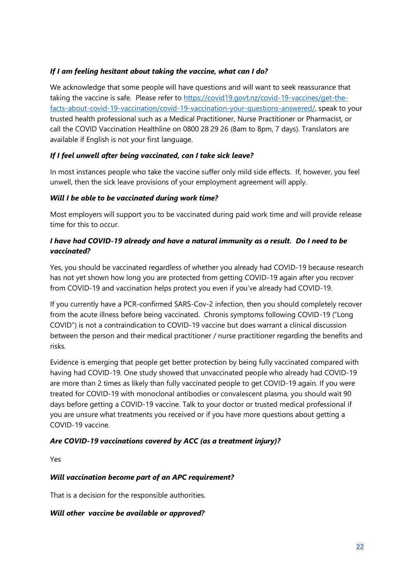#### *If I am feeling hesitant about taking the vaccine, what can I do?*

We acknowledge that some people will have questions and will want to seek reassurance that taking the vaccine is safe. Please refer to [https://covid19.govt.nz/covid-19-vaccines/get-the](https://covid19.govt.nz/covid-19-vaccines/get-the-facts-about-covid-19-vaccination/covid-19-vaccination-your-questions-answered/)[facts-about-covid-19-vaccination/covid-19-vaccination-your-questions-answered/,](https://covid19.govt.nz/covid-19-vaccines/get-the-facts-about-covid-19-vaccination/covid-19-vaccination-your-questions-answered/) speak to your trusted health professional such as a Medical Practitioner, Nurse Practitioner or Pharmacist, or call the COVID Vaccination Healthline on [0800 28 29 26](tel:0800282926) (8am to 8pm, 7 days). Translators are available if English is not your first language.

#### *If I feel unwell after being vaccinated, can I take sick leave?*

In most instances people who take the vaccine suffer only mild side effects. If, however, you feel unwell, then the sick leave provisions of your employment agreement will apply.

#### *Will I be able to be vaccinated during work time?*

Most employers will support you to be vaccinated during paid work time and will provide release time for this to occur.

#### *I have had COVID-19 already and have a natural immunity as a result. Do I need to be vaccinated?*

Yes, you should be vaccinated regardless of whether you already had COVID-19 because research has not yet shown how long you are protected from getting COVID-19 again after you recover from COVID-19 and vaccination helps protect you even if you've already had COVID-19.

If you currently have a PCR-confirmed SARS-Cov-2 infection, then you should completely recover from the acute illness before being vaccinated. Chronis symptoms following COVID-19 ("Long COVID") is not a contraindication to COVID-19 vaccine but does warrant a clinical discussion between the person and their medical practitioner / nurse practitioner regarding the benefits and risks.

Evidence is emerging that people get better protection by being fully vaccinated compared with having had COVID-19. [One study](https://www.cdc.gov/mmwr/volumes/70/wr/mm7032e1.htm?s_cid=mm7032e1_e&ACSTrackingID=USCDC_921-DM63289&ACSTrackingLabel=MMWR%20Early%20Release%20-%20Vol.%2070%2C%20August%206%2C%202021&deliveryName=USCDC_921-DM63289) showed that unvaccinated people who already had COVID-19 are more than 2 times as likely than fully vaccinated people to get COVID-19 again. If you were treated for COVID-19 with monoclonal antibodies or convalescent plasma, you should wait 90 days before getting a COVID-19 vaccine. Talk to your doctor or trusted medical professional if you are unsure what treatments you received or if you have more questions about getting a COVID-19 vaccine.

#### *Are COVID-19 vaccinations covered by ACC (as a treatment injury)?*

Yes

#### *Will vaccination become part of an APC requirement?*

That is a decision for the responsible authorities.

#### *Will other vaccine be available or approved?*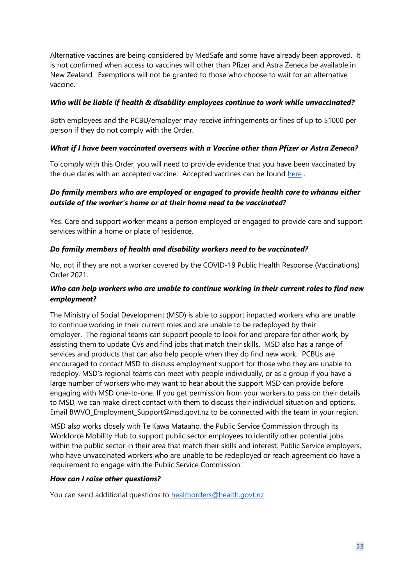Alternative vaccines are being considered by MedSafe and some have already been approved. It is not confirmed when access to vaccines will other than Pfizer and Astra Zeneca be available in New Zealand. Exemptions will not be granted to those who choose to wait for an alternative vaccine.

#### *Who will be liable if health & disability employees continue to work while unvaccinated?*

Both employees and the PCBU/employer may receive infringements or fines of up to \$1000 per person if they do not comply with the Order.

#### *What if I have been vaccinated overseas with a Vaccine other than Pfizer or Astra Zeneca?*

To comply with this Order, you will need to provide evidence that you have been vaccinated by the due dates with an accepted vaccine. Accepted vaccines can be found [here](https://www.legislation.govt.nz/regulation/public/2021/0094/latest/LMS573022.html?search=ad_regulation___2021___25_an%40bn%40rc%40dn%40apub%40aloc%40apri%40apro%40aimp%40bgov%40bloc%40bpri%40bmem%40rpub%40rimp_rc%40ainf%40anif%40bcur%40rinf%40rnif%40raif%40rasm%40rrev_y_aw_se&p=1#LMS573022) .

#### *Do family members who are employed or engaged to provide health care to whānau either outside of the worker's home or at their home need to be vaccinated?*

Yes. Care and support worker means a person employed or engaged to provide care and support services within a home or place of residence.

#### *Do family members of health and disability workers need to be vaccinated?*

No, not if they are not a worker covered by the COVID-19 Public Health Response (Vaccinations) Order 2021.

#### *Who can help workers who are unable to continue working in their current roles to find new employment?*

The Ministry of Social Development (MSD) is able to support impacted workers who are unable to continue working in their current roles and are unable to be redeployed by their employer. The regional teams can support people to look for and prepare for other work, by assisting them to update CVs and find jobs that match their skills. MSD also has a range of services and products that can also help people when they do find new work. PCBUs are encouraged to contact MSD to discuss employment support for those who they are unable to redeploy. MSD's regional teams can meet with people individually, or as a group if you have a large number of workers who may want to hear about the support MSD can provide before engaging with MSD one-to-one. If you get permission from your workers to pass on their details to MSD, we can make direct contact with them to discuss their individual situation and options. Email [BWVO\\_Employment\\_Support@msd.govt.nz t](mailto:xxxxxxxx@msd.govt.nz)o be connected with the team in your region.

MSD also works closely with Te Kawa Mataaho, the Public Service Commission through its Workforce Mobility Hub to support public sector employees to identify other potential jobs within the public sector in their area that match their skills and interest. Public Service employers, who have unvaccinated workers who are unable to be redeployed or reach agreement do have a requirement to engage with the Public Service Commission.

#### *How can I raise other questions?*

You can send additional questions to [healthorders@health.govt.nz](mailto:healthorders@health.govt.nz)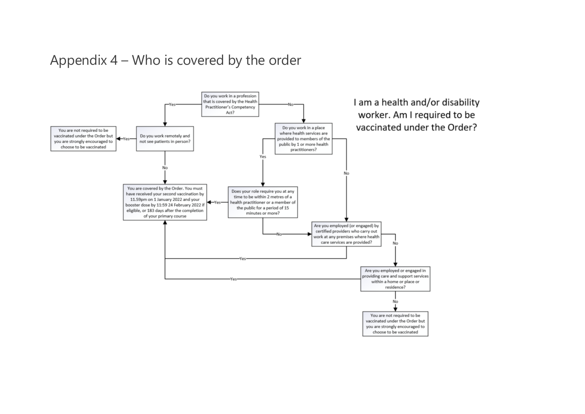# Appendix 4 – Who is covered by the order

<span id="page-23-0"></span>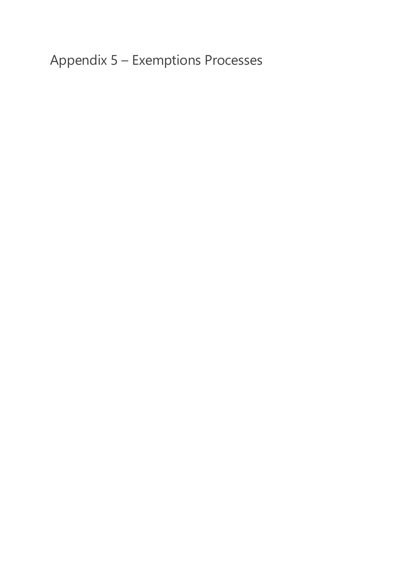<span id="page-24-0"></span>Appendix 5 – Exemptions Processes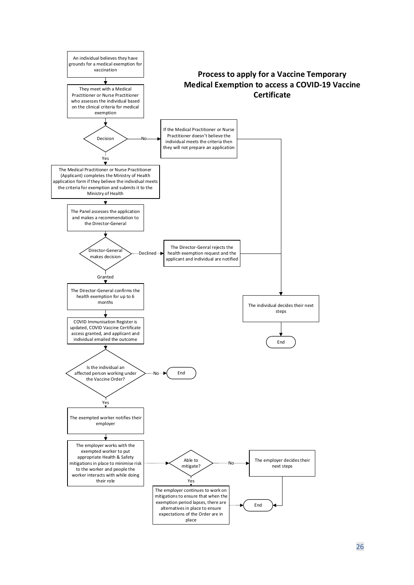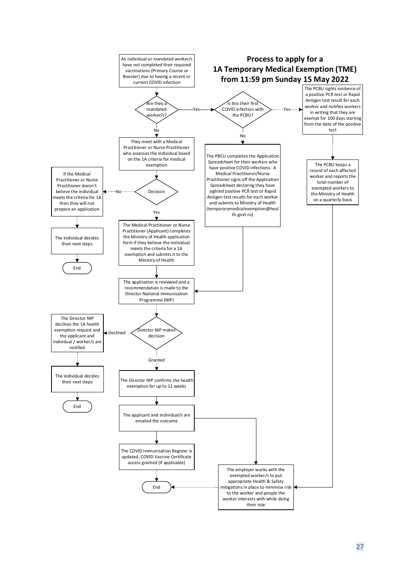